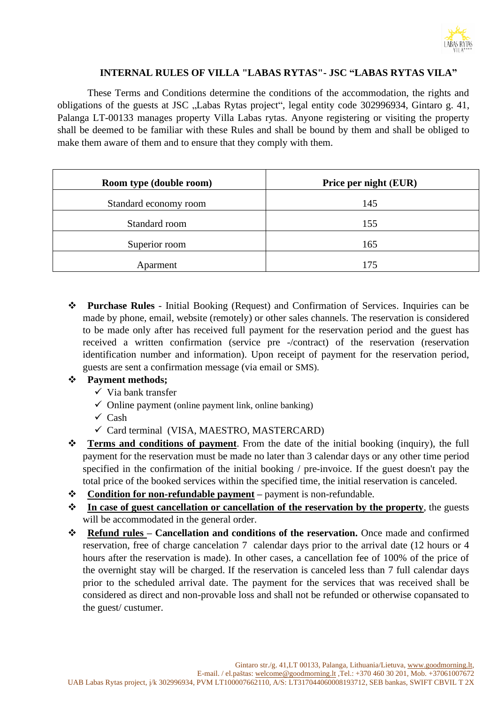

### **INTERNAL RULES OF VILLA "LABAS RYTAS"- JSC "LABAS RYTAS VILA"**

These Terms and Conditions determine the conditions of the accommodation, the rights and obligations of the guests at JSC "Labas Rytas project", legal entity code 302996934, Gintaro g. 41, Palanga LT-00133 manages property Villa Labas rytas. Anyone registering or visiting the property shall be deemed to be familiar with these Rules and shall be bound by them and shall be obliged to make them aware of them and to ensure that they comply with them.

| Room type (double room) | Price per night (EUR) |
|-------------------------|-----------------------|
| Standard economy room   | 145                   |
| Standard room           | 155                   |
| Superior room           | 165                   |
| Aparment                | 175                   |

❖ **Purchase Rules** - Initial Booking (Request) and Confirmation of Services. Inquiries can be made by phone, email, website (remotely) or other sales channels. The reservation is considered to be made only after has received full payment for the reservation period and the guest has received a written confirmation (service pre -/contract) of the reservation (reservation identification number and information). Upon receipt of payment for the reservation period, guests are sent a confirmation message (via email or SMS).

# ❖ **Payment methods;**

- $\checkmark$  Via bank transfer
- $\checkmark$  Online payment (online payment link, online banking)
- $\checkmark$  Cash
- ✓ Card terminal (VISA, MAESTRO, MASTERCARD)
- ❖ **Terms and conditions of payment**. From the date of the initial booking (inquiry), the full payment for the reservation must be made no later than 3 calendar days or any other time period specified in the confirmation of the initial booking / pre-invoice. If the guest doesn't pay the total price of the booked services within the specified time, the initial reservation is canceled.
- ❖ **Condition for non-refundable payment –** payment is non-refundable.
- ❖ **In case of guest cancellation or cancellation of the reservation by the property**, the guests will be accommodated in the general order.
- ❖ **Refund rules – Cancellation and conditions of the reservation.** Once made and confirmed reservation, free of charge cancelation 7 calendar days prior to the arrival date (12 hours or 4 hours after the reservation is made). In other cases, a cancellation fee of 100% of the price of the overnight stay will be charged. If the reservation is canceled less than 7 full calendar days prior to the scheduled arrival date. The payment for the services that was received shall be considered as direct and non-provable loss and shall not be refunded or otherwise copansated to the guest/ custumer.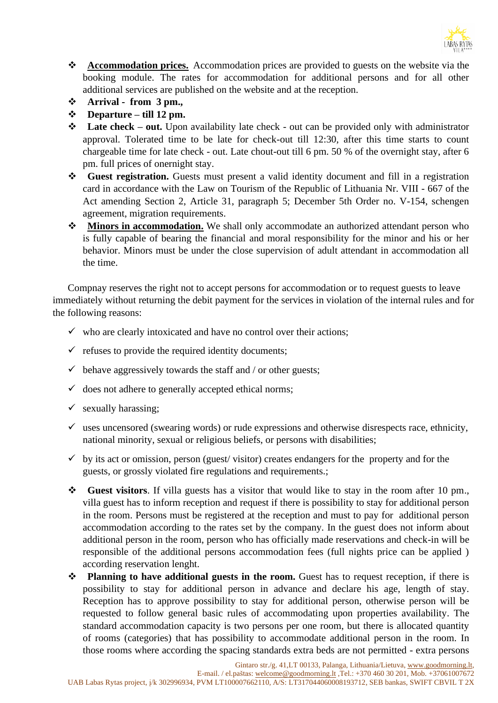

- ❖ **Accommodation prices.** Accommodation prices are provided to guests on the website via the booking module. The rates for accommodation for additional persons and for all other additional services are published on the website and at the reception.
- ❖ **Arrival - from 3 pm.,**
- ❖ **Departure – till 12 pm.**
- ❖ **Late check – out.** Upon availability late check out can be provided only with administrator approval. Tolerated time to be late for check-out till 12:30, after this time starts to count chargeable time for late check - out. Late chout-out till 6 pm. 50 % of the overnight stay, after 6 pm. full prices of onernight stay.
- ❖ **Guest registration.** Guests must present a valid identity document and fill in a registration card in accordance with the Law on Tourism of the Republic of Lithuania Nr. VIII - 667 of the Act amending Section 2, Article 31, paragraph 5; December 5th Order no. V-154, schengen agreement, migration requirements.
- ❖ **Minors in accommodation.** We shall only accommodate an authorized attendant person who is fully capable of bearing the financial and moral responsibility for the minor and his or her behavior. Minors must be under the close supervision of adult attendant in accommodation all the time.

Compnay reserves the right not to accept persons for accommodation or to request guests to leave immediately without returning the debit payment for the services in violation of the internal rules and for the following reasons:

- $\checkmark$  who are clearly intoxicated and have no control over their actions;
- $\checkmark$  refuses to provide the required identity documents;
- $\checkmark$  behave aggressively towards the staff and / or other guests;
- $\checkmark$  does not adhere to generally accepted ethical norms;
- $\checkmark$  sexually harassing;
- $\checkmark$  uses uncensored (swearing words) or rude expressions and otherwise disrespects race, ethnicity, national minority, sexual or religious beliefs, or persons with disabilities;
- $\checkmark$  by its act or omission, person (guest/ visitor) creates endangers for the property and for the guests, or grossly violated fire regulations and requirements.;
- ❖ **Guest visitors**. If villa guests has a visitor that would like to stay in the room after 10 pm., villa guest has to inform reception and request if there is possibility to stay for additional person in the room. Persons must be registered at the reception and must to pay for additional person accommodation according to the rates set by the company. In the guest does not inform about additional person in the room, person who has officially made reservations and check-in will be responsible of the additional persons accommodation fees (full nights price can be applied ) according reservation lenght.
- ❖ **Planning to have additional guests in the room.** Guest has to request reception, if there is possibility to stay for additional person in advance and declare his age, length of stay. Reception has to approve possibility to stay for additional person, otherwise person will be requested to follow general basic rules of accommodating upon properties availability. The standard accommodation capacity is two persons per one room, but there is allocated quantity of rooms (categories) that has possibility to accommodate additional person in the room. In those rooms where according the spacing standards extra beds are not permitted - extra persons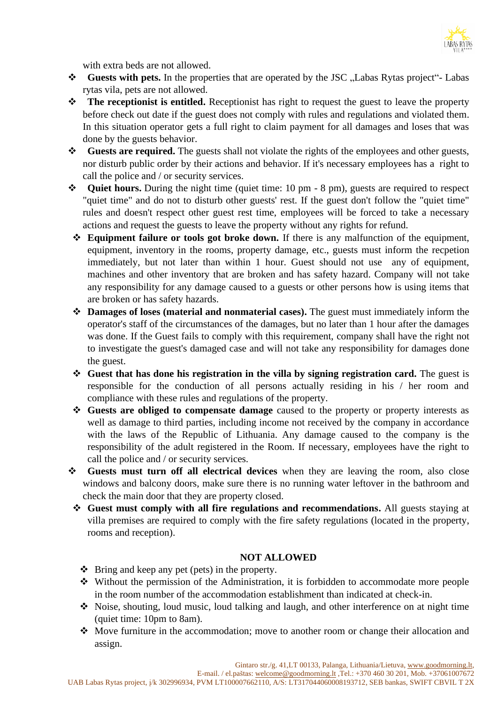

with extra beds are not allowed.

- ❖ **Guests with pets.** In the properties that are operated by the JSC "Labas Rytas project"- Labas rytas vila, pets are not allowed.
- ❖ **The receptionist is entitled.** Receptionist has right to request the guest to leave the property before check out date if the guest does not comply with rules and regulations and violated them. In this situation operator gets a full right to claim payment for all damages and loses that was done by the guests behavior.
- ❖ **Guests are required.** The guests shall not violate the rights of the employees and other guests, nor disturb public order by their actions and behavior. If it's necessary employees has a right to call the police and / or security services.
- ❖ **Quiet hours.** During the night time (quiet time: 10 pm 8 pm), guests are required to respect "quiet time" and do not to disturb other guests' rest. If the guest don't follow the "quiet time" rules and doesn't respect other guest rest time, employees will be forced to take a necessary actions and request the guests to leave the property without any rights for refund.
	- ❖ **Equipment failure or tools got broke down.** If there is any malfunction of the equipment, equipment, inventory in the rooms, property damage, etc., guests must inform the recpetion immediately, but not later than within 1 hour. Guest should not use any of equipment, machines and other inventory that are broken and has safety hazard. Company will not take any responsibility for any damage caused to a guests or other persons how is using items that are broken or has safety hazards.
	- ❖ **Damages of loses (material and nonmaterial cases).** The guest must immediately inform the operator's staff of the circumstances of the damages, but no later than 1 hour after the damages was done. If the Guest fails to comply with this requirement, company shall have the right not to investigate the guest's damaged case and will not take any responsibility for damages done the guest.
	- ❖ **Guest that has done his registration in the villa by signing registration card.** The guest is responsible for the conduction of all persons actually residing in his / her room and compliance with these rules and regulations of the property.
	- ❖ **Guests are obliged to compensate damage** caused to the property or property interests as well as damage to third parties, including income not received by the company in accordance with the laws of the Republic of Lithuania. Any damage caused to the company is the responsibility of the adult registered in the Room. If necessary, employees have the right to call the police and / or security services.
- ❖ **Guests must turn off all electrical devices** when they are leaving the room, also close windows and balcony doors, make sure there is no running water leftover in the bathroom and check the main door that they are property closed.
	- ❖ **Guest must comply with all fire regulations and recommendations.** All guests staying at villa premises are required to comply with the fire safety regulations (located in the property, rooms and reception).

### **NOT ALLOWED**

- ❖ Bring and keep any pet (pets) in the property.
- ❖ Without the permission of the Administration, it is forbidden to accommodate more people in the room number of the accommodation establishment than indicated at check-in.
- ❖ Noise, shouting, loud music, loud talking and laugh, and other interference on at night time (quiet time: 10pm to 8am).
- ❖ Move furniture in the accommodation; move to another room or change their allocation and assign.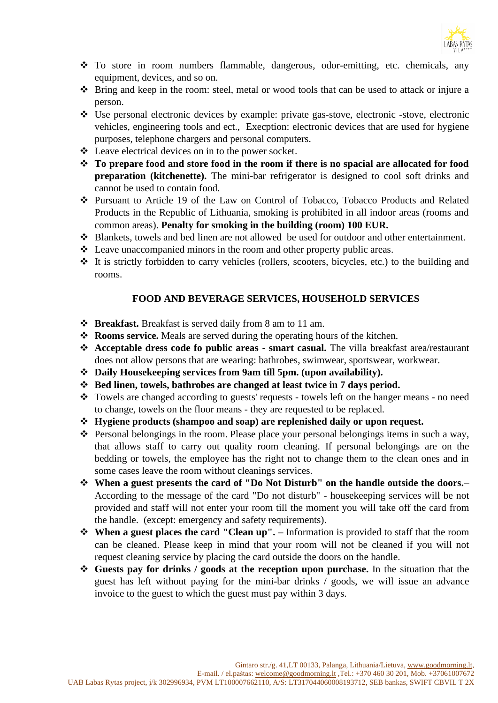

- ❖ To store in room numbers flammable, dangerous, odor-emitting, etc. chemicals, any equipment, devices, and so on.
- ❖ Bring and keep in the room: steel, metal or wood tools that can be used to attack or injure a person.
- ❖ Use personal electronic devices by example: private gas-stove, electronic -stove, electronic vehicles, engineering tools and ect., Execption: electronic devices that are used for hygiene purposes, telephone chargers and personal computers.
- ❖ Leave electrical devices on in to the power socket.
- ❖ **To prepare food and store food in the room if there is no spacial are allocated for food preparation (kitchenette).** The mini-bar refrigerator is designed to cool soft drinks and cannot be used to contain food.
- ❖ Pursuant to Article 19 of the Law on Control of Tobacco, Tobacco Products and Related Products in the Republic of Lithuania, smoking is prohibited in all indoor areas (rooms and common areas). **Penalty for smoking in the building (room) 100 EUR.**
- ❖ Blankets, towels and bed linen are not allowed be used for outdoor and other entertainment.
- ❖ Leave unaccompanied minors in the room and other property public areas.
- ❖ It is strictly forbidden to carry vehicles (rollers, scooters, bicycles, etc.) to the building and rooms.

# **FOOD AND BEVERAGE SERVICES, HOUSEHOLD SERVICES**

- ❖ **Breakfast.** Breakfast is served daily from 8 am to 11 am.
- ❖ **Rooms service.** Meals are served during the operating hours of the kitchen.
- ❖ **Acceptable dress code fo public areas - smart casual.** The villa breakfast area/restaurant does not allow persons that are wearing: bathrobes, swimwear, sportswear, workwear.
- ❖ **Daily Housekeeping services from 9am till 5pm. (upon availability).**
- ❖ **Bed linen, towels, bathrobes are changed at least twice in 7 days period.**
- ❖ Towels are changed according to guests' requests towels left on the hanger means no need to change, towels on the floor means - they are requested to be replaced.
- ❖ **Hygiene products (shampoo and soap) are replenished daily or upon request.**
- ❖ Personal belongings in the room. Please place your personal belongings items in such a way, that allows staff to carry out quality room cleaning. If personal belongings are on the bedding or towels, the employee has the right not to change them to the clean ones and in some cases leave the room without cleanings services.
- ❖ **When a guest presents the card of "Do Not Disturb" on the handle outside the doors.** According to the message of the card "Do not disturb" - housekeeping services will be not provided and staff will not enter your room till the moment you will take off the card from the handle. (except: emergency and safety requirements).
- ❖ **When a guest places the card "Clean up". –** Information is provided to staff that the room can be cleaned. Please keep in mind that your room will not be cleaned if you will not request cleaning service by placing the card outside the doors on the handle.
- ❖ **Guests pay for drinks / goods at the reception upon purchase.** In the situation that the guest has left without paying for the mini-bar drinks / goods, we will issue an advance invoice to the guest to which the guest must pay within 3 days.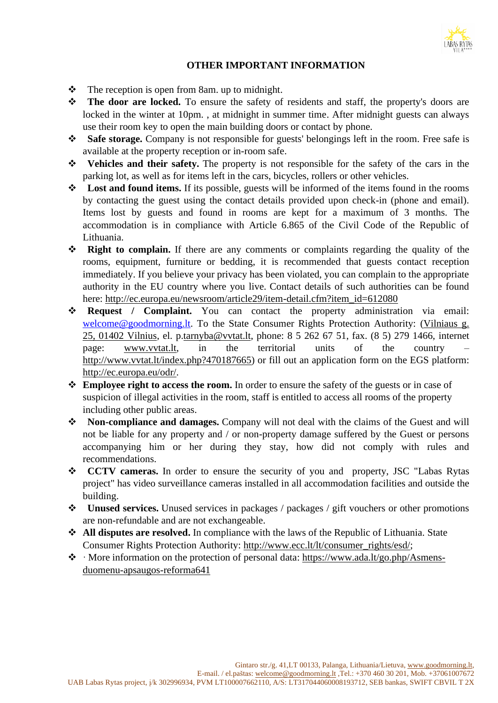

# **OTHER IMPORTANT INFORMATION**

- ❖ The reception is open from 8am. up to midnight.
- ❖ **The door are locked.** To ensure the safety of residents and staff, the property's doors are locked in the winter at 10pm. , at midnight in summer time. After midnight guests can always use their room key to open the main building doors or contact by phone.
- ❖ **Safe storage.** Company is not responsible for guests' belongings left in the room. Free safe is available at the property reception or in-room safe.
- ❖ **Vehicles and their safety.** The property is not responsible for the safety of the cars in the parking lot, as well as for items left in the cars, bicycles, rollers or other vehicles.
- ❖ **Lost and found items.** If its possible, guests will be informed of the items found in the rooms by contacting the guest using the contact details provided upon check-in (phone and email). Items lost by guests and found in rooms are kept for a maximum of 3 months. The accommodation is in compliance with Article 6.865 of the Civil Code of the Republic of Lithuania.
- ❖ **Right to complain.** If there are any comments or complaints regarding the quality of the rooms, equipment, furniture or bedding, it is recommended that guests contact reception immediately. If you believe your privacy has been violated, you can complain to the appropriate authority in the EU country where you live. Contact details of such authorities can be found here: [http://ec.europa.eu/newsroom/article29/item-detail.cfm?item\\_id=612080](http://ec.europa.eu/newsroom/article29/item-detail.cfm?item_id=612080)
- ❖ **Request / Complaint.** You can contact the property administration via email: [welcome@goodmorning.lt.](mailto:welcome@goodmorning.lt) To the State Consumer Rights Protection Authority: [\(Vilniaus](https://maps.google.com/?q=Vilniaus+g.+25,+01402+Vilnius&entry=gmail&source=g) g. 25, 01402 [Vilnius,](https://maps.google.com/?q=Vilniaus+g.+25,+01402+Vilnius&entry=gmail&source=g) el. p[.tarnyba@vvtat.lt,](mailto:tarnyba@vvtat.lt) phone: 8 5 262 67 51, fax. (8 5) 279 1466, internet page: [www.vvtat.lt,](http://www.vvtat.lt/) in the territorial units of the country – [http://www.vvtat.lt/index.php?470187665\)](http://www.vvtat.lt/index.php?470187665) or fill out an application form on the EGS platform: [http://ec.europa.eu/odr/.](http://ec.europa.eu/odr/)
- ❖ **Employee right to access the room.** In order to ensure the safety of the guests or in case of suspicion of illegal activities in the room, staff is entitled to access all rooms of the property including other public areas.
- ❖ **Non-compliance and damages.** Company will not deal with the claims of the Guest and will not be liable for any property and / or non-property damage suffered by the Guest or persons accompanying him or her during they stay, how did not comply with rules and recommendations.
- ❖ **CCTV cameras.** In order to ensure the security of you and property, JSC "Labas Rytas project" has video surveillance cameras installed in all accommodation facilities and outside the building.
- ❖ **Unused services.** Unused services in packages / packages / gift vouchers or other promotions are non-refundable and are not exchangeable.
- ❖ **All disputes are resolved.** In compliance with the laws of the Republic of Lithuania. State Consumer Rights Protection Authority: [http://www.ecc.lt/lt/consumer\\_rights/esd/;](http://www.ecc.lt/lt/consumer_rights/esd/)
- ❖ · More information on the protection of personal data: [https://www.ada.lt/go.php/Asmens](https://www.ada.lt/go.php/Asmens-duomenu-apsaugos-reforma641)[duomenu-apsaugos-reforma641](https://www.ada.lt/go.php/Asmens-duomenu-apsaugos-reforma641)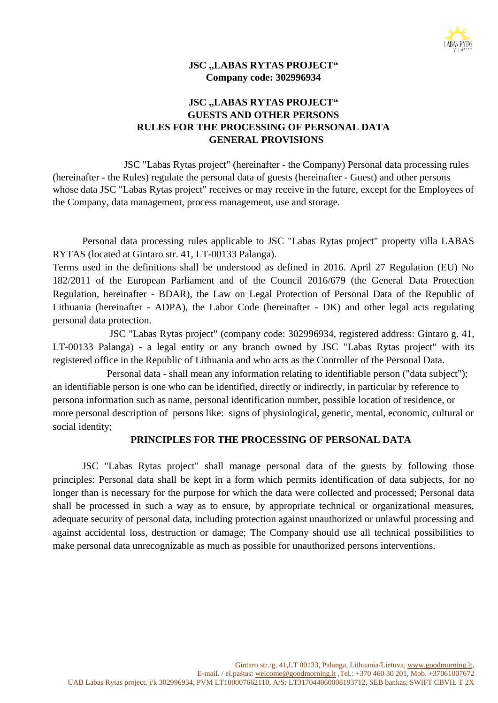

# **JSC** "LABAS RYTAS PROJECT" **Company code: 302996934**

# **JSC "LABAS RYTAS PROJECT" GUESTS AND OTHER PERSONS RULES FOR THE PROCESSING OF PERSONAL DATA GENERAL PROVISIONS**

JSC "Labas Rytas project" (hereinafter - the Company) Personal data processing rules (hereinafter - the Rules) regulate the personal data of guests (hereinafter - Guest) and other persons whose data JSC "Labas Rytas project" receives or may receive in the future, except for the Employees of the Company, data management, process management, use and storage.

Personal data processing rules applicable to JSC "Labas Rytas project" property villa LABAS RYTAS (located at Gintaro str. 41, LT-00133 Palanga).

Terms used in the definitions shall be understood as defined in 2016. April 27 Regulation (EU) No 182/2011 of the European Parliament and of the Council 2016/679 (the General Data Protection Regulation, hereinafter - BDAR), the Law on Legal Protection of Personal Data of the Republic of Lithuania (hereinafter - ADPA), the Labor Code (hereinafter - DK) and other legal acts regulating personal data protection.

JSC "Labas Rytas project" (company code: 302996934, registered address: Gintaro g. 41, LT-00133 Palanga) - a legal entity or any branch owned by JSC "Labas Rytas project" with its registered office in the Republic of Lithuania and who acts as the Controller of the Personal Data.

Personal data - shall mean any information relating to identifiable person ("data subject"); an identifiable person is one who can be identified, directly or indirectly, in particular by reference to persona information such as name, personal identification number, possible location of residence, or more personal description of persons like: signs of physiological, genetic, mental, economic, cultural or social identity;

### **PRINCIPLES FOR THE PROCESSING OF PERSONAL DATA**

JSC "Labas Rytas project" shall manage personal data of the guests by following those principles: Personal data shall be kept in a form which permits identification of data subjects, for no longer than is necessary for the purpose for which the data were collected and processed; Personal data shall be processed in such a way as to ensure, by appropriate technical or organizational measures, adequate security of personal data, including protection against unauthorized or unlawful processing and against accidental loss, destruction or damage; The Company should use all technical possibilities to make personal data unrecognizable as much as possible for unauthorized persons interventions.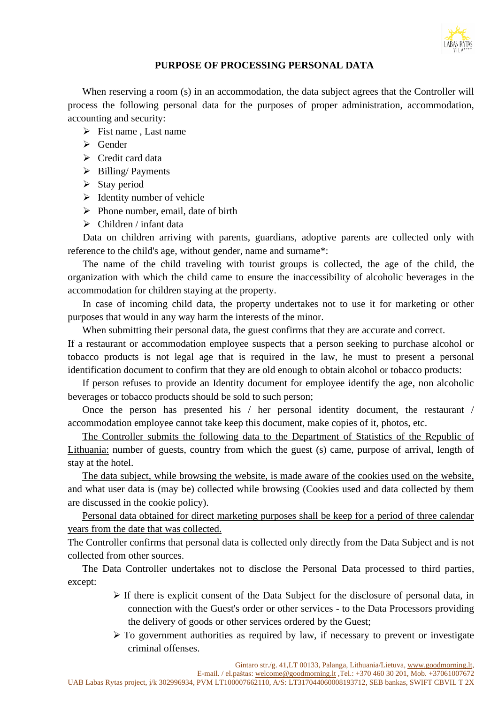

### **PURPOSE OF PROCESSING PERSONAL DATA**

When reserving a room (s) in an accommodation, the data subject agrees that the Controller will process the following personal data for the purposes of proper administration, accommodation, accounting and security:

- $\triangleright$  Fist name , Last name
- ➢ Gender
- ➢ Credit card data
- ➢ Billing/ Payments
- $\triangleright$  Stay period
- $\triangleright$  Identity number of vehicle
- $\triangleright$  Phone number, email, date of birth
- $\triangleright$  Children / infant data

Data on children arriving with parents, guardians, adoptive parents are collected only with reference to the child's age, without gender, name and surname\*:

The name of the child traveling with tourist groups is collected, the age of the child, the organization with which the child came to ensure the inaccessibility of alcoholic beverages in the accommodation for children staying at the property.

In case of incoming child data, the property undertakes not to use it for marketing or other purposes that would in any way harm the interests of the minor.

When submitting their personal data, the guest confirms that they are accurate and correct.

If a restaurant or accommodation employee suspects that a person seeking to purchase alcohol or tobacco products is not legal age that is required in the law, he must to present a personal identification document to confirm that they are old enough to obtain alcohol or tobacco products:

If person refuses to provide an Identity document for employee identify the age, non alcoholic beverages or tobacco products should be sold to such person;

Once the person has presented his / her personal identity document, the restaurant / accommodation employee cannot take keep this document, make copies of it, photos, etc.

The Controller submits the following data to the Department of Statistics of the Republic of Lithuania: number of guests, country from which the guest (s) came, purpose of arrival, length of stay at the hotel.

The data subject, while browsing the website, is made aware of the cookies used on the website, and what user data is (may be) collected while browsing (Cookies used and data collected by them are discussed in the cookie policy).

Personal data obtained for direct marketing purposes shall be keep for a period of three calendar years from the date that was collected.

The Controller confirms that personal data is collected only directly from the Data Subject and is not collected from other sources.

The Data Controller undertakes not to disclose the Personal Data processed to third parties, except:

- ➢ If there is explicit consent of the Data Subject for the disclosure of personal data, in connection with the Guest's order or other services - to the Data Processors providing the delivery of goods or other services ordered by the Guest;
- $\triangleright$  To government authorities as required by law, if necessary to prevent or investigate criminal offenses.

E-mail. / el.paštas: [welcome@goodmorning.lt](mailto:welcome@goodmorning.lt) ,Tel.: +370 460 30 201, Mob. +37061007672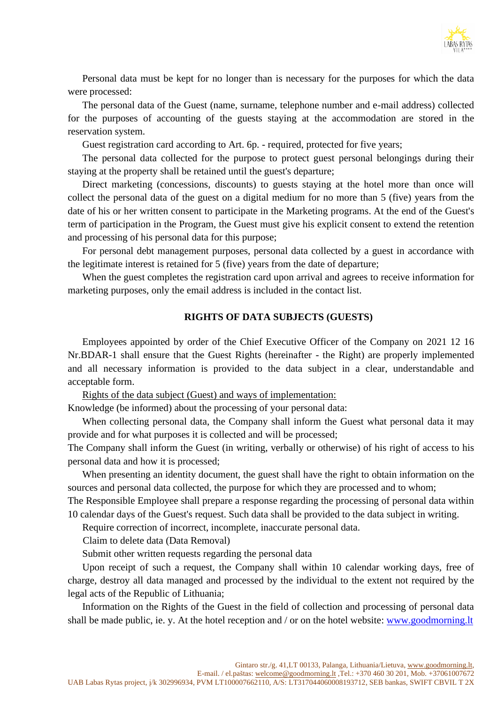

Personal data must be kept for no longer than is necessary for the purposes for which the data were processed:

The personal data of the Guest (name, surname, telephone number and e-mail address) collected for the purposes of accounting of the guests staying at the accommodation are stored in the reservation system.

Guest registration card according to Art. 6p. - required, protected for five years;

The personal data collected for the purpose to protect guest personal belongings during their staying at the property shall be retained until the guest's departure;

Direct marketing (concessions, discounts) to guests staying at the hotel more than once will collect the personal data of the guest on a digital medium for no more than 5 (five) years from the date of his or her written consent to participate in the Marketing programs. At the end of the Guest's term of participation in the Program, the Guest must give his explicit consent to extend the retention and processing of his personal data for this purpose;

For personal debt management purposes, personal data collected by a guest in accordance with the legitimate interest is retained for 5 (five) years from the date of departure;

When the guest completes the registration card upon arrival and agrees to receive information for marketing purposes, only the email address is included in the contact list.

#### **RIGHTS OF DATA SUBJECTS (GUESTS)**

Employees appointed by order of the Chief Executive Officer of the Company on 2021 12 16 Nr.BDAR-1 shall ensure that the Guest Rights (hereinafter - the Right) are properly implemented and all necessary information is provided to the data subject in a clear, understandable and acceptable form.

Rights of the data subject (Guest) and ways of implementation:

Knowledge (be informed) about the processing of your personal data:

When collecting personal data, the Company shall inform the Guest what personal data it may provide and for what purposes it is collected and will be processed;

The Company shall inform the Guest (in writing, verbally or otherwise) of his right of access to his personal data and how it is processed;

When presenting an identity document, the guest shall have the right to obtain information on the sources and personal data collected, the purpose for which they are processed and to whom;

The Responsible Employee shall prepare a response regarding the processing of personal data within 10 calendar days of the Guest's request. Such data shall be provided to the data subject in writing.

Require correction of incorrect, incomplete, inaccurate personal data.

Claim to delete data (Data Removal)

Submit other written requests regarding the personal data

Upon receipt of such a request, the Company shall within 10 calendar working days, free of charge, destroy all data managed and processed by the individual to the extent not required by the legal acts of the Republic of Lithuania;

Information on the Rights of the Guest in the field of collection and processing of personal data shall be made public, ie. y. At the hotel reception and / or on the hotel website: [www.goodmorning.lt](http://www.goodmorning.lt/)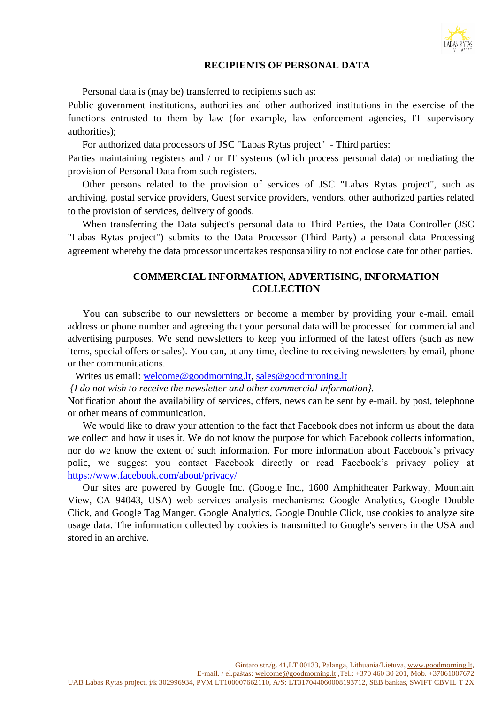

#### **RECIPIENTS OF PERSONAL DATA**

Personal data is (may be) transferred to recipients such as:

Public government institutions, authorities and other authorized institutions in the exercise of the functions entrusted to them by law (for example, law enforcement agencies, IT supervisory authorities);

For authorized data processors of JSC "Labas Rytas project" - Third parties:

Parties maintaining registers and / or IT systems (which process personal data) or mediating the provision of Personal Data from such registers.

Other persons related to the provision of services of JSC "Labas Rytas project", such as archiving, postal service providers, Guest service providers, vendors, other authorized parties related to the provision of services, delivery of goods.

When transferring the Data subject's personal data to Third Parties, the Data Controller (JSC "Labas Rytas project") submits to the Data Processor (Third Party) a personal data Processing agreement whereby the data processor undertakes responsability to not enclose date for other parties.

### **COMMERCIAL INFORMATION, ADVERTISING, INFORMATION COLLECTION**

 You can subscribe to our newsletters or become a member by providing your e-mail. email address or phone number and agreeing that your personal data will be processed for commercial and advertising purposes. We send newsletters to keep you informed of the latest offers (such as new items, special offers or sales). You can, at any time, decline to receiving newsletters by email, phone or ther communications.

Writes us email: [welcome@goodmorning.lt,](mailto:welcome@goodmorning.lt) [sales@goodmroning.lt](mailto:sales@goodmroning.lt)

*{I do not wish to receive the newsletter and other commercial information}.*

Notification about the availability of services, offers, news can be sent by e-mail. by post, telephone or other means of communication.

We would like to draw your attention to the fact that Facebook does not inform us about the data we collect and how it uses it. We do not know the purpose for which Facebook collects information, nor do we know the extent of such information. For more information about Facebook's privacy polic, we suggest you contact Facebook directly or read Facebook's privacy policy at <https://www.facebook.com/about/privacy/>

 Our sites are powered by Google Inc. (Google Inc., 1600 Amphitheater Parkway, Mountain View, CA 94043, USA) web services analysis mechanisms: Google Analytics, Google Double Click, and Google Tag Manger. Google Analytics, Google Double Click, use cookies to analyze site usage data. The information collected by cookies is transmitted to Google's servers in the USA and stored in an archive.